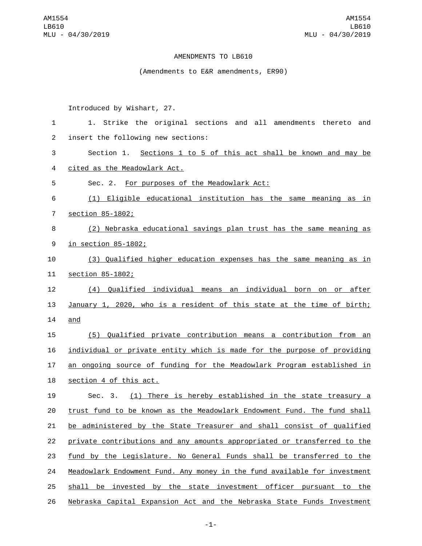## AMENDMENTS TO LB610

(Amendments to E&R amendments, ER90)

Introduced by Wishart, 27.

| 1              | 1. Strike the original sections and all amendments thereto<br>and         |
|----------------|---------------------------------------------------------------------------|
| $\overline{2}$ | insert the following new sections:                                        |
| 3              | Section 1. Sections 1 to 5 of this act shall be known and may be          |
| 4              | cited as the Meadowlark Act.                                              |
| 5              | Sec. 2. For purposes of the Meadowlark Act:                               |
| 6              | (1) Eligible educational institution has the same meaning as in           |
| $\overline{7}$ | section 85-1802;                                                          |
| 8              | (2) Nebraska educational savings plan trust has the same meaning as       |
| 9              | <u>in section 85-1802;</u>                                                |
| 10             | (3) Qualified higher education expenses has the same meaning as in        |
| 11             | section 85-1802;                                                          |
| 12             | (4) Qualified individual means an individual born on or after             |
| 13             | January 1, 2020, who is a resident of this state at the time of birth;    |
| 14             | and                                                                       |
| 15             | (5) Qualified private contribution means a contribution from an           |
| 16             | individual or private entity which is made for the purpose of providing   |
| 17             | an ongoing source of funding for the Meadowlark Program established in    |
| 18             | section 4 of this act.                                                    |
| 19             | (1) There is hereby established in the state treasury a<br>Sec. 3.        |
| 20             | trust fund to be known as the Meadowlark Endowment Fund. The fund shall   |
| 21             | be administered by the State Treasurer and shall consist of qualified     |
| 22             | private contributions and any amounts appropriated or transferred to the  |
| 23             | fund by the Legislature. No General Funds shall be transferred to the     |
| 24             | Meadowlark Endowment Fund. Any money in the fund available for investment |
| 25             | shall be invested by the state investment officer pursuant to the         |
| 26             | Nebraska Capital Expansion Act and the Nebraska State Funds Investment    |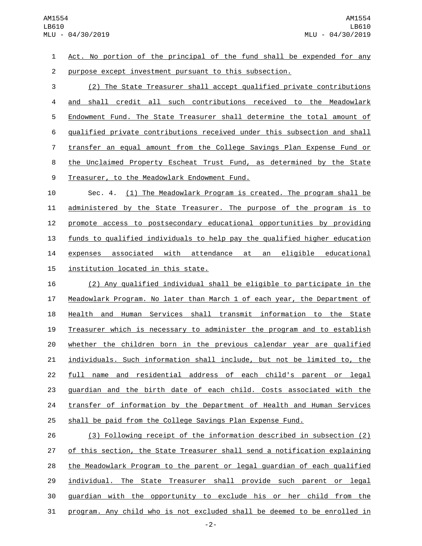Act. No portion of the principal of the fund shall be expended for any purpose except investment pursuant to this subsection.

 (2) The State Treasurer shall accept qualified private contributions and shall credit all such contributions received to the Meadowlark Endowment Fund. The State Treasurer shall determine the total amount of qualified private contributions received under this subsection and shall transfer an equal amount from the College Savings Plan Expense Fund or the Unclaimed Property Escheat Trust Fund, as determined by the State 9 Treasurer, to the Meadowlark Endowment Fund.

 Sec. 4. (1) The Meadowlark Program is created. The program shall be 11 administered by the State Treasurer. The purpose of the program is to promote access to postsecondary educational opportunities by providing funds to qualified individuals to help pay the qualified higher education expenses associated with attendance at an eligible educational 15 institution located in this state.

 (2) Any qualified individual shall be eligible to participate in the Meadowlark Program. No later than March 1 of each year, the Department of Health and Human Services shall transmit information to the State Treasurer which is necessary to administer the program and to establish whether the children born in the previous calendar year are qualified individuals. Such information shall include, but not be limited to, the full name and residential address of each child's parent or legal guardian and the birth date of each child. Costs associated with the 24 transfer of information by the Department of Health and Human Services shall be paid from the College Savings Plan Expense Fund.

 (3) Following receipt of the information described in subsection (2) 27 of this section, the State Treasurer shall send a notification explaining the Meadowlark Program to the parent or legal guardian of each qualified individual. The State Treasurer shall provide such parent or legal 30 guardian with the opportunity to exclude his or her child from the program. Any child who is not excluded shall be deemed to be enrolled in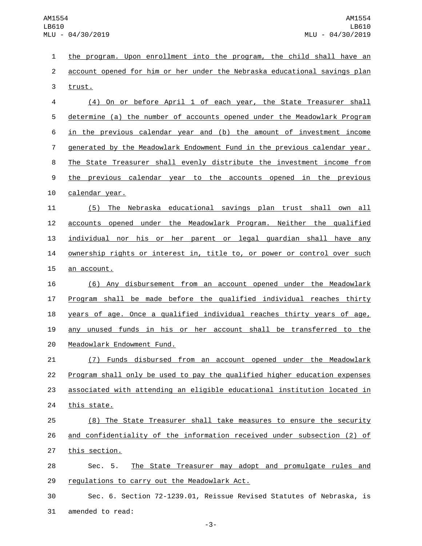1 the program. Upon enrollment into the program, the child shall have an 2 account opened for him or her under the Nebraska educational savings plan 3 trust.

 (4) On or before April 1 of each year, the State Treasurer shall determine (a) the number of accounts opened under the Meadowlark Program in the previous calendar year and (b) the amount of investment income generated by the Meadowlark Endowment Fund in the previous calendar year. The State Treasurer shall evenly distribute the investment income from 9 the previous calendar year to the accounts opened in the previous 10 calendar year.

 (5) The Nebraska educational savings plan trust shall own all accounts opened under the Meadowlark Program. Neither the qualified individual nor his or her parent or legal guardian shall have any **OWNETS ON THATK** or interest in, title to, or power or control over such 15 an account.

 (6) Any disbursement from an account opened under the Meadowlark Program shall be made before the qualified individual reaches thirty years of age. Once a qualified individual reaches thirty years of age, any unused funds in his or her account shall be transferred to the 20 Meadowlark Endowment Fund.

 (7) Funds disbursed from an account opened under the Meadowlark Program shall only be used to pay the qualified higher education expenses associated with attending an eligible educational institution located in 24 this state.

25 (8) The State Treasurer shall take measures to ensure the security 26 and confidentiality of the information received under subsection (2) of 27 this section.

28 Sec. 5. The State Treasurer may adopt and promulgate rules and 29 regulations to carry out the Meadowlark Act.

30 Sec. 6. Section 72-1239.01, Reissue Revised Statutes of Nebraska, is 31 amended to read: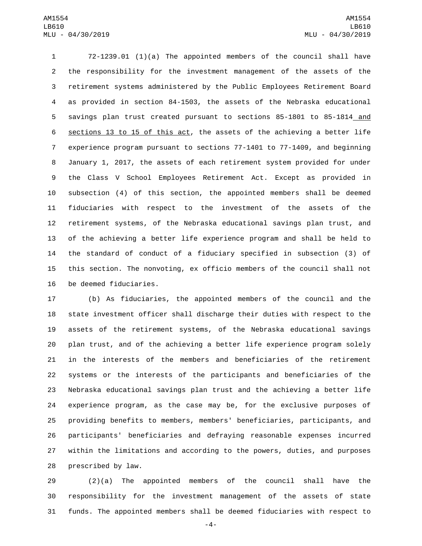72-1239.01 (1)(a) The appointed members of the council shall have the responsibility for the investment management of the assets of the retirement systems administered by the Public Employees Retirement Board as provided in section 84-1503, the assets of the Nebraska educational savings plan trust created pursuant to sections 85-1801 to 85-1814 and 6 sections 13 to 15 of this act, the assets of the achieving a better life experience program pursuant to sections 77-1401 to 77-1409, and beginning January 1, 2017, the assets of each retirement system provided for under the Class V School Employees Retirement Act. Except as provided in subsection (4) of this section, the appointed members shall be deemed fiduciaries with respect to the investment of the assets of the retirement systems, of the Nebraska educational savings plan trust, and of the achieving a better life experience program and shall be held to the standard of conduct of a fiduciary specified in subsection (3) of this section. The nonvoting, ex officio members of the council shall not 16 be deemed fiduciaries.

 (b) As fiduciaries, the appointed members of the council and the state investment officer shall discharge their duties with respect to the assets of the retirement systems, of the Nebraska educational savings plan trust, and of the achieving a better life experience program solely in the interests of the members and beneficiaries of the retirement systems or the interests of the participants and beneficiaries of the Nebraska educational savings plan trust and the achieving a better life experience program, as the case may be, for the exclusive purposes of providing benefits to members, members' beneficiaries, participants, and participants' beneficiaries and defraying reasonable expenses incurred within the limitations and according to the powers, duties, and purposes 28 prescribed by law.

 (2)(a) The appointed members of the council shall have the responsibility for the investment management of the assets of state funds. The appointed members shall be deemed fiduciaries with respect to

-4-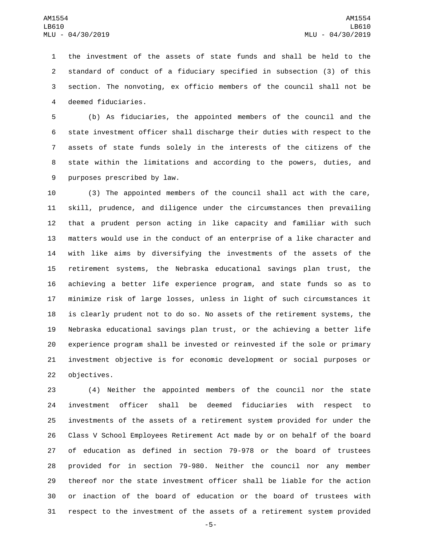the investment of the assets of state funds and shall be held to the standard of conduct of a fiduciary specified in subsection (3) of this section. The nonvoting, ex officio members of the council shall not be 4 deemed fiduciaries.

 (b) As fiduciaries, the appointed members of the council and the state investment officer shall discharge their duties with respect to the assets of state funds solely in the interests of the citizens of the state within the limitations and according to the powers, duties, and 9 purposes prescribed by law.

 (3) The appointed members of the council shall act with the care, skill, prudence, and diligence under the circumstances then prevailing that a prudent person acting in like capacity and familiar with such matters would use in the conduct of an enterprise of a like character and with like aims by diversifying the investments of the assets of the retirement systems, the Nebraska educational savings plan trust, the achieving a better life experience program, and state funds so as to minimize risk of large losses, unless in light of such circumstances it is clearly prudent not to do so. No assets of the retirement systems, the Nebraska educational savings plan trust, or the achieving a better life experience program shall be invested or reinvested if the sole or primary investment objective is for economic development or social purposes or 22 objectives.

 (4) Neither the appointed members of the council nor the state investment officer shall be deemed fiduciaries with respect to investments of the assets of a retirement system provided for under the Class V School Employees Retirement Act made by or on behalf of the board of education as defined in section 79-978 or the board of trustees provided for in section 79-980. Neither the council nor any member thereof nor the state investment officer shall be liable for the action or inaction of the board of education or the board of trustees with respect to the investment of the assets of a retirement system provided

-5-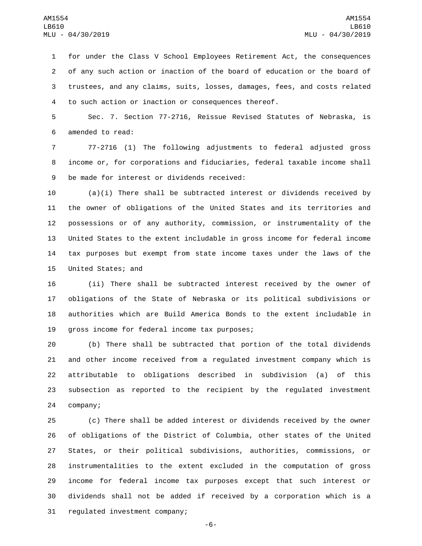for under the Class V School Employees Retirement Act, the consequences of any such action or inaction of the board of education or the board of trustees, and any claims, suits, losses, damages, fees, and costs related to such action or inaction or consequences thereof.

 Sec. 7. Section 77-2716, Reissue Revised Statutes of Nebraska, is 6 amended to read:

 77-2716 (1) The following adjustments to federal adjusted gross income or, for corporations and fiduciaries, federal taxable income shall 9 be made for interest or dividends received:

 (a)(i) There shall be subtracted interest or dividends received by the owner of obligations of the United States and its territories and possessions or of any authority, commission, or instrumentality of the United States to the extent includable in gross income for federal income tax purposes but exempt from state income taxes under the laws of the 15 United States; and

 (ii) There shall be subtracted interest received by the owner of obligations of the State of Nebraska or its political subdivisions or authorities which are Build America Bonds to the extent includable in 19 gross income for federal income tax purposes;

 (b) There shall be subtracted that portion of the total dividends and other income received from a regulated investment company which is attributable to obligations described in subdivision (a) of this subsection as reported to the recipient by the regulated investment 24 company;

 (c) There shall be added interest or dividends received by the owner of obligations of the District of Columbia, other states of the United States, or their political subdivisions, authorities, commissions, or instrumentalities to the extent excluded in the computation of gross income for federal income tax purposes except that such interest or dividends shall not be added if received by a corporation which is a 31 regulated investment company;

-6-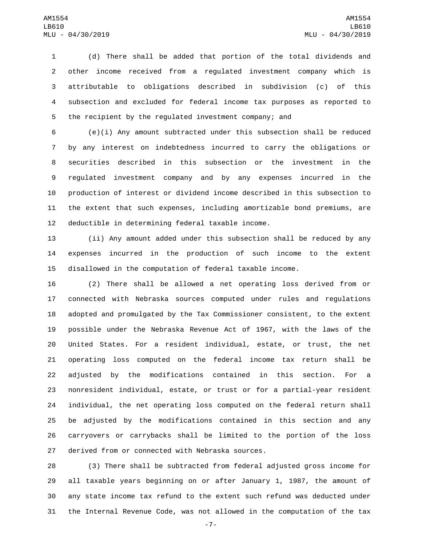(d) There shall be added that portion of the total dividends and other income received from a regulated investment company which is attributable to obligations described in subdivision (c) of this subsection and excluded for federal income tax purposes as reported to the recipient by the regulated investment company; and

 (e)(i) Any amount subtracted under this subsection shall be reduced by any interest on indebtedness incurred to carry the obligations or securities described in this subsection or the investment in the regulated investment company and by any expenses incurred in the production of interest or dividend income described in this subsection to the extent that such expenses, including amortizable bond premiums, are 12 deductible in determining federal taxable income.

 (ii) Any amount added under this subsection shall be reduced by any expenses incurred in the production of such income to the extent disallowed in the computation of federal taxable income.

 (2) There shall be allowed a net operating loss derived from or connected with Nebraska sources computed under rules and regulations adopted and promulgated by the Tax Commissioner consistent, to the extent possible under the Nebraska Revenue Act of 1967, with the laws of the United States. For a resident individual, estate, or trust, the net operating loss computed on the federal income tax return shall be adjusted by the modifications contained in this section. For a nonresident individual, estate, or trust or for a partial-year resident individual, the net operating loss computed on the federal return shall be adjusted by the modifications contained in this section and any carryovers or carrybacks shall be limited to the portion of the loss 27 derived from or connected with Nebraska sources.

 (3) There shall be subtracted from federal adjusted gross income for all taxable years beginning on or after January 1, 1987, the amount of any state income tax refund to the extent such refund was deducted under the Internal Revenue Code, was not allowed in the computation of the tax

-7-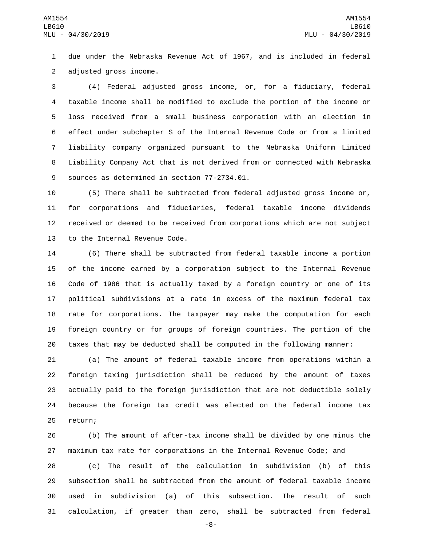due under the Nebraska Revenue Act of 1967, and is included in federal 2 adjusted gross income.

 (4) Federal adjusted gross income, or, for a fiduciary, federal taxable income shall be modified to exclude the portion of the income or loss received from a small business corporation with an election in effect under subchapter S of the Internal Revenue Code or from a limited liability company organized pursuant to the Nebraska Uniform Limited Liability Company Act that is not derived from or connected with Nebraska 9 sources as determined in section 77-2734.01.

 (5) There shall be subtracted from federal adjusted gross income or, for corporations and fiduciaries, federal taxable income dividends received or deemed to be received from corporations which are not subject 13 to the Internal Revenue Code.

 (6) There shall be subtracted from federal taxable income a portion of the income earned by a corporation subject to the Internal Revenue Code of 1986 that is actually taxed by a foreign country or one of its political subdivisions at a rate in excess of the maximum federal tax rate for corporations. The taxpayer may make the computation for each foreign country or for groups of foreign countries. The portion of the taxes that may be deducted shall be computed in the following manner:

 (a) The amount of federal taxable income from operations within a foreign taxing jurisdiction shall be reduced by the amount of taxes actually paid to the foreign jurisdiction that are not deductible solely because the foreign tax credit was elected on the federal income tax 25 return;

 (b) The amount of after-tax income shall be divided by one minus the maximum tax rate for corporations in the Internal Revenue Code; and

 (c) The result of the calculation in subdivision (b) of this subsection shall be subtracted from the amount of federal taxable income used in subdivision (a) of this subsection. The result of such calculation, if greater than zero, shall be subtracted from federal

-8-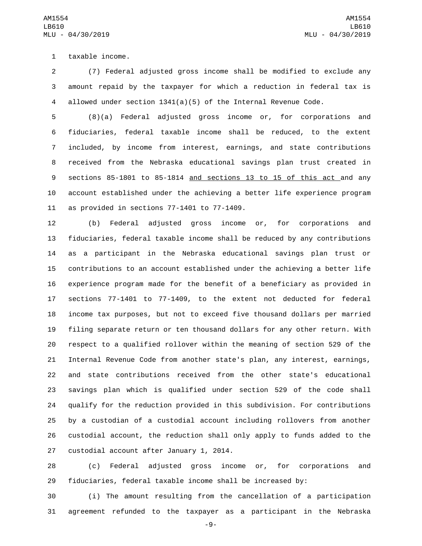1 taxable income.

 (7) Federal adjusted gross income shall be modified to exclude any amount repaid by the taxpayer for which a reduction in federal tax is allowed under section 1341(a)(5) of the Internal Revenue Code.

 (8)(a) Federal adjusted gross income or, for corporations and fiduciaries, federal taxable income shall be reduced, to the extent included, by income from interest, earnings, and state contributions received from the Nebraska educational savings plan trust created in sections 85-1801 to 85-1814 and sections 13 to 15 of this act and any account established under the achieving a better life experience program 11 as provided in sections  $77-1401$  to  $77-1409$ .

 (b) Federal adjusted gross income or, for corporations and fiduciaries, federal taxable income shall be reduced by any contributions as a participant in the Nebraska educational savings plan trust or contributions to an account established under the achieving a better life experience program made for the benefit of a beneficiary as provided in sections 77-1401 to 77-1409, to the extent not deducted for federal income tax purposes, but not to exceed five thousand dollars per married filing separate return or ten thousand dollars for any other return. With respect to a qualified rollover within the meaning of section 529 of the Internal Revenue Code from another state's plan, any interest, earnings, and state contributions received from the other state's educational savings plan which is qualified under section 529 of the code shall qualify for the reduction provided in this subdivision. For contributions by a custodian of a custodial account including rollovers from another custodial account, the reduction shall only apply to funds added to the 27 custodial account after January 1, 2014.

 (c) Federal adjusted gross income or, for corporations and fiduciaries, federal taxable income shall be increased by:

 (i) The amount resulting from the cancellation of a participation agreement refunded to the taxpayer as a participant in the Nebraska

-9-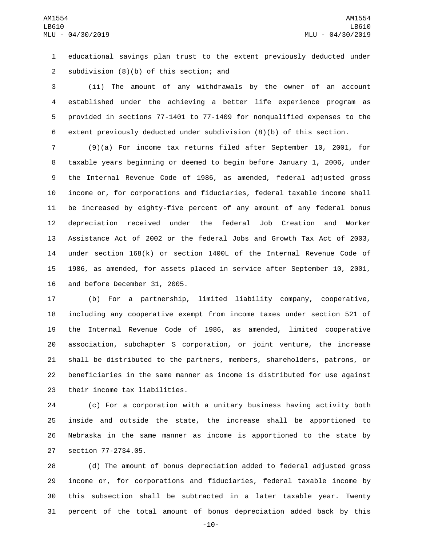educational savings plan trust to the extent previously deducted under 2 subdivision  $(8)(b)$  of this section; and

 (ii) The amount of any withdrawals by the owner of an account established under the achieving a better life experience program as provided in sections 77-1401 to 77-1409 for nonqualified expenses to the extent previously deducted under subdivision (8)(b) of this section.

 (9)(a) For income tax returns filed after September 10, 2001, for taxable years beginning or deemed to begin before January 1, 2006, under the Internal Revenue Code of 1986, as amended, federal adjusted gross income or, for corporations and fiduciaries, federal taxable income shall be increased by eighty-five percent of any amount of any federal bonus depreciation received under the federal Job Creation and Worker Assistance Act of 2002 or the federal Jobs and Growth Tax Act of 2003, under section 168(k) or section 1400L of the Internal Revenue Code of 1986, as amended, for assets placed in service after September 10, 2001, 16 and before December 31, 2005.

 (b) For a partnership, limited liability company, cooperative, including any cooperative exempt from income taxes under section 521 of the Internal Revenue Code of 1986, as amended, limited cooperative association, subchapter S corporation, or joint venture, the increase shall be distributed to the partners, members, shareholders, patrons, or beneficiaries in the same manner as income is distributed for use against 23 their income tax liabilities.

 (c) For a corporation with a unitary business having activity both inside and outside the state, the increase shall be apportioned to Nebraska in the same manner as income is apportioned to the state by 27 section 77-2734.05.

 (d) The amount of bonus depreciation added to federal adjusted gross income or, for corporations and fiduciaries, federal taxable income by this subsection shall be subtracted in a later taxable year. Twenty percent of the total amount of bonus depreciation added back by this

-10-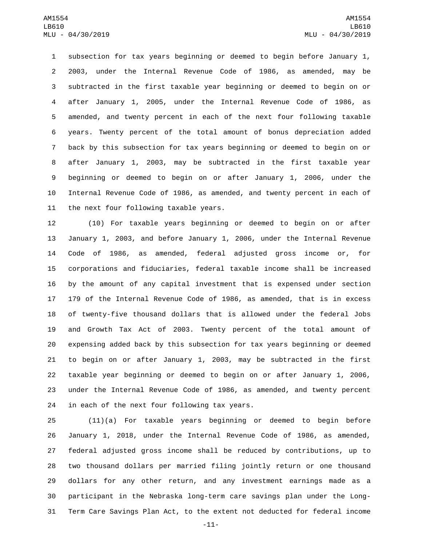subsection for tax years beginning or deemed to begin before January 1, 2003, under the Internal Revenue Code of 1986, as amended, may be subtracted in the first taxable year beginning or deemed to begin on or after January 1, 2005, under the Internal Revenue Code of 1986, as amended, and twenty percent in each of the next four following taxable years. Twenty percent of the total amount of bonus depreciation added back by this subsection for tax years beginning or deemed to begin on or after January 1, 2003, may be subtracted in the first taxable year beginning or deemed to begin on or after January 1, 2006, under the Internal Revenue Code of 1986, as amended, and twenty percent in each of 11 the next four following taxable years.

 (10) For taxable years beginning or deemed to begin on or after January 1, 2003, and before January 1, 2006, under the Internal Revenue Code of 1986, as amended, federal adjusted gross income or, for corporations and fiduciaries, federal taxable income shall be increased by the amount of any capital investment that is expensed under section 179 of the Internal Revenue Code of 1986, as amended, that is in excess of twenty-five thousand dollars that is allowed under the federal Jobs and Growth Tax Act of 2003. Twenty percent of the total amount of expensing added back by this subsection for tax years beginning or deemed to begin on or after January 1, 2003, may be subtracted in the first taxable year beginning or deemed to begin on or after January 1, 2006, under the Internal Revenue Code of 1986, as amended, and twenty percent 24 in each of the next four following tax years.

 (11)(a) For taxable years beginning or deemed to begin before January 1, 2018, under the Internal Revenue Code of 1986, as amended, federal adjusted gross income shall be reduced by contributions, up to two thousand dollars per married filing jointly return or one thousand dollars for any other return, and any investment earnings made as a participant in the Nebraska long-term care savings plan under the Long-Term Care Savings Plan Act, to the extent not deducted for federal income

-11-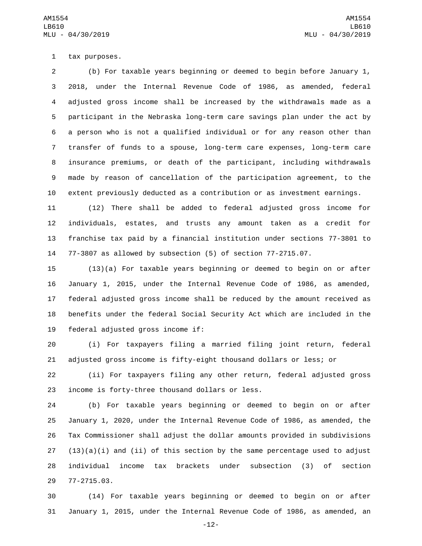1 tax purposes.

 (b) For taxable years beginning or deemed to begin before January 1, 2018, under the Internal Revenue Code of 1986, as amended, federal adjusted gross income shall be increased by the withdrawals made as a participant in the Nebraska long-term care savings plan under the act by a person who is not a qualified individual or for any reason other than transfer of funds to a spouse, long-term care expenses, long-term care insurance premiums, or death of the participant, including withdrawals made by reason of cancellation of the participation agreement, to the extent previously deducted as a contribution or as investment earnings.

 (12) There shall be added to federal adjusted gross income for individuals, estates, and trusts any amount taken as a credit for franchise tax paid by a financial institution under sections 77-3801 to 77-3807 as allowed by subsection (5) of section 77-2715.07.

 (13)(a) For taxable years beginning or deemed to begin on or after January 1, 2015, under the Internal Revenue Code of 1986, as amended, federal adjusted gross income shall be reduced by the amount received as benefits under the federal Social Security Act which are included in the 19 federal adjusted gross income if:

 (i) For taxpayers filing a married filing joint return, federal adjusted gross income is fifty-eight thousand dollars or less; or

 (ii) For taxpayers filing any other return, federal adjusted gross 23 income is forty-three thousand dollars or less.

 (b) For taxable years beginning or deemed to begin on or after January 1, 2020, under the Internal Revenue Code of 1986, as amended, the Tax Commissioner shall adjust the dollar amounts provided in subdivisions  $(13)(a)(i)$  and  $(ii)$  of this section by the same percentage used to adjust individual income tax brackets under subsection (3) of section 77-2715.03.29

 (14) For taxable years beginning or deemed to begin on or after January 1, 2015, under the Internal Revenue Code of 1986, as amended, an

-12-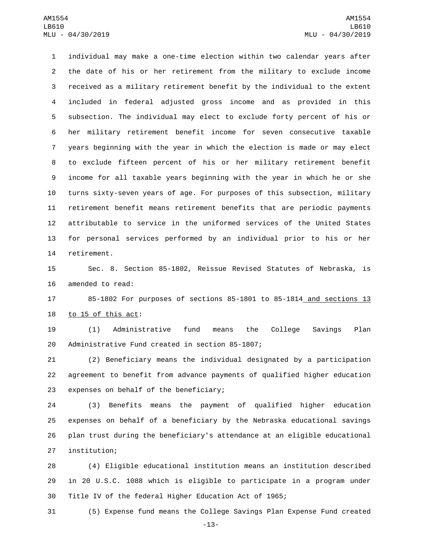individual may make a one-time election within two calendar years after the date of his or her retirement from the military to exclude income received as a military retirement benefit by the individual to the extent included in federal adjusted gross income and as provided in this subsection. The individual may elect to exclude forty percent of his or her military retirement benefit income for seven consecutive taxable years beginning with the year in which the election is made or may elect to exclude fifteen percent of his or her military retirement benefit income for all taxable years beginning with the year in which he or she turns sixty-seven years of age. For purposes of this subsection, military retirement benefit means retirement benefits that are periodic payments attributable to service in the uniformed services of the United States for personal services performed by an individual prior to his or her 14 retirement.

 Sec. 8. Section 85-1802, Reissue Revised Statutes of Nebraska, is 16 amended to read:

 85-1802 For purposes of sections 85-1801 to 85-1814 and sections 13 to  $15$  of this act:

 (1) Administrative fund means the College Savings Plan 20 Administrative Fund created in section 85-1807;

 (2) Beneficiary means the individual designated by a participation agreement to benefit from advance payments of qualified higher education 23 expenses on behalf of the beneficiary;

 (3) Benefits means the payment of qualified higher education expenses on behalf of a beneficiary by the Nebraska educational savings plan trust during the beneficiary's attendance at an eligible educational 27 institution;

 (4) Eligible educational institution means an institution described in 20 U.S.C. 1088 which is eligible to participate in a program under Title IV of the federal Higher Education Act of 1965;

(5) Expense fund means the College Savings Plan Expense Fund created

-13-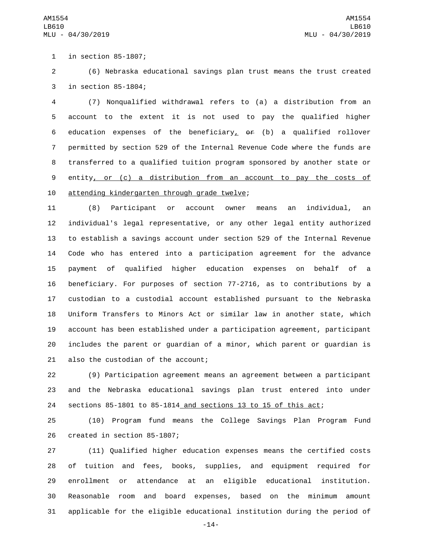1 in section 85-1807;

 (6) Nebraska educational savings plan trust means the trust created 3 in section 85-1804;

 (7) Nonqualified withdrawal refers to (a) a distribution from an account to the extent it is not used to pay the qualified higher 6 education expenses of the beneficiary,  $\theta$  (b) a qualified rollover permitted by section 529 of the Internal Revenue Code where the funds are transferred to a qualified tuition program sponsored by another state or entity, or (c) a distribution from an account to pay the costs of 10 attending kindergarten through grade twelve;

 (8) Participant or account owner means an individual, an individual's legal representative, or any other legal entity authorized to establish a savings account under section 529 of the Internal Revenue Code who has entered into a participation agreement for the advance payment of qualified higher education expenses on behalf of a beneficiary. For purposes of section 77-2716, as to contributions by a custodian to a custodial account established pursuant to the Nebraska Uniform Transfers to Minors Act or similar law in another state, which account has been established under a participation agreement, participant includes the parent or guardian of a minor, which parent or guardian is 21 also the custodian of the account;

 (9) Participation agreement means an agreement between a participant and the Nebraska educational savings plan trust entered into under sections 85-1801 to 85-1814 and sections 13 to 15 of this act;

 (10) Program fund means the College Savings Plan Program Fund 26 created in section 85-1807;

 (11) Qualified higher education expenses means the certified costs of tuition and fees, books, supplies, and equipment required for enrollment or attendance at an eligible educational institution. Reasonable room and board expenses, based on the minimum amount applicable for the eligible educational institution during the period of

-14-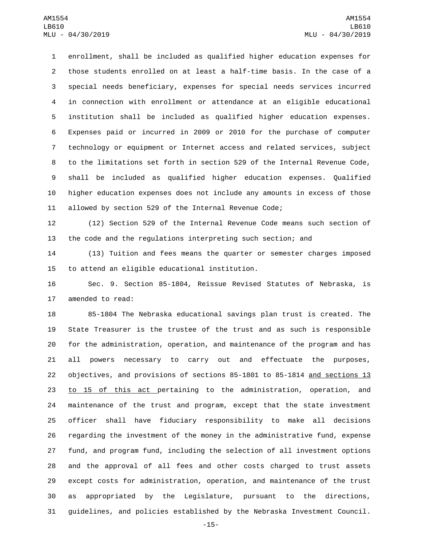enrollment, shall be included as qualified higher education expenses for those students enrolled on at least a half-time basis. In the case of a special needs beneficiary, expenses for special needs services incurred in connection with enrollment or attendance at an eligible educational institution shall be included as qualified higher education expenses. Expenses paid or incurred in 2009 or 2010 for the purchase of computer technology or equipment or Internet access and related services, subject to the limitations set forth in section 529 of the Internal Revenue Code, shall be included as qualified higher education expenses. Qualified higher education expenses does not include any amounts in excess of those allowed by section 529 of the Internal Revenue Code;

 (12) Section 529 of the Internal Revenue Code means such section of the code and the regulations interpreting such section; and

 (13) Tuition and fees means the quarter or semester charges imposed 15 to attend an eligible educational institution.

 Sec. 9. Section 85-1804, Reissue Revised Statutes of Nebraska, is 17 amended to read:

 85-1804 The Nebraska educational savings plan trust is created. The State Treasurer is the trustee of the trust and as such is responsible for the administration, operation, and maintenance of the program and has all powers necessary to carry out and effectuate the purposes, objectives, and provisions of sections 85-1801 to 85-1814 and sections 13 to 15 of this act pertaining to the administration, operation, and maintenance of the trust and program, except that the state investment officer shall have fiduciary responsibility to make all decisions regarding the investment of the money in the administrative fund, expense fund, and program fund, including the selection of all investment options and the approval of all fees and other costs charged to trust assets except costs for administration, operation, and maintenance of the trust as appropriated by the Legislature, pursuant to the directions, guidelines, and policies established by the Nebraska Investment Council.

-15-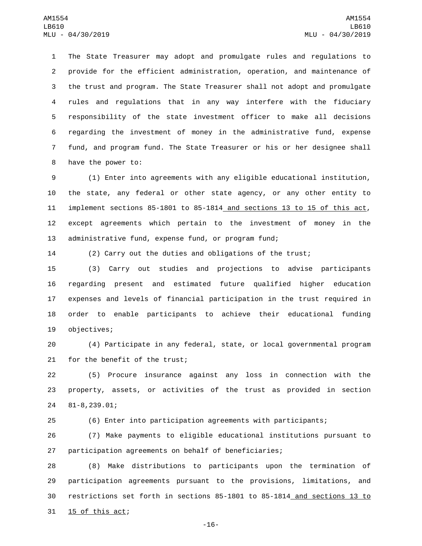The State Treasurer may adopt and promulgate rules and regulations to provide for the efficient administration, operation, and maintenance of the trust and program. The State Treasurer shall not adopt and promulgate rules and regulations that in any way interfere with the fiduciary responsibility of the state investment officer to make all decisions regarding the investment of money in the administrative fund, expense fund, and program fund. The State Treasurer or his or her designee shall 8 have the power to:

 (1) Enter into agreements with any eligible educational institution, the state, any federal or other state agency, or any other entity to implement sections 85-1801 to 85-1814 and sections 13 to 15 of this act, except agreements which pertain to the investment of money in the administrative fund, expense fund, or program fund;

 $15$  of this act;

(2) Carry out the duties and obligations of the trust;

 (3) Carry out studies and projections to advise participants regarding present and estimated future qualified higher education expenses and levels of financial participation in the trust required in order to enable participants to achieve their educational funding 19 objectives;

 (4) Participate in any federal, state, or local governmental program 21 for the benefit of the trust;

 (5) Procure insurance against any loss in connection with the property, assets, or activities of the trust as provided in section 81-8,239.01;24

(6) Enter into participation agreements with participants;

 (7) Make payments to eligible educational institutions pursuant to participation agreements on behalf of beneficiaries;

 (8) Make distributions to participants upon the termination of participation agreements pursuant to the provisions, limitations, and restrictions set forth in sections 85-1801 to 85-1814 and sections 13 to

-16-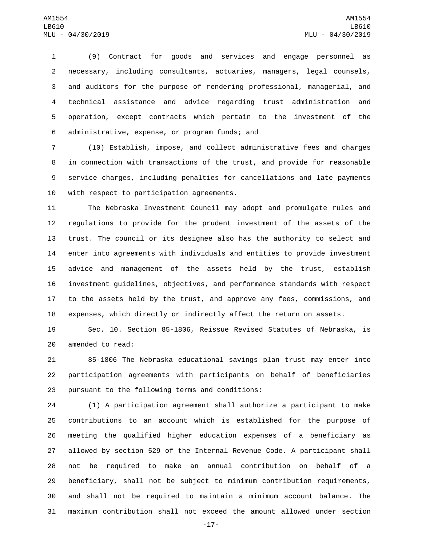(9) Contract for goods and services and engage personnel as necessary, including consultants, actuaries, managers, legal counsels, and auditors for the purpose of rendering professional, managerial, and technical assistance and advice regarding trust administration and operation, except contracts which pertain to the investment of the administrative, expense, or program funds; and6

 (10) Establish, impose, and collect administrative fees and charges in connection with transactions of the trust, and provide for reasonable service charges, including penalties for cancellations and late payments 10 with respect to participation agreements.

 The Nebraska Investment Council may adopt and promulgate rules and regulations to provide for the prudent investment of the assets of the trust. The council or its designee also has the authority to select and enter into agreements with individuals and entities to provide investment advice and management of the assets held by the trust, establish investment guidelines, objectives, and performance standards with respect to the assets held by the trust, and approve any fees, commissions, and expenses, which directly or indirectly affect the return on assets.

 Sec. 10. Section 85-1806, Reissue Revised Statutes of Nebraska, is 20 amended to read:

 85-1806 The Nebraska educational savings plan trust may enter into participation agreements with participants on behalf of beneficiaries 23 pursuant to the following terms and conditions:

 (1) A participation agreement shall authorize a participant to make contributions to an account which is established for the purpose of meeting the qualified higher education expenses of a beneficiary as allowed by section 529 of the Internal Revenue Code. A participant shall not be required to make an annual contribution on behalf of a beneficiary, shall not be subject to minimum contribution requirements, and shall not be required to maintain a minimum account balance. The maximum contribution shall not exceed the amount allowed under section

-17-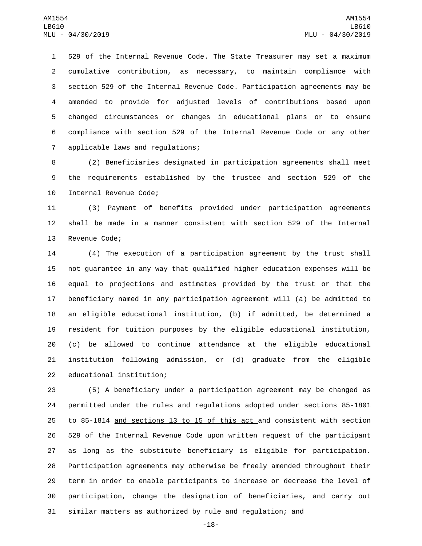529 of the Internal Revenue Code. The State Treasurer may set a maximum cumulative contribution, as necessary, to maintain compliance with section 529 of the Internal Revenue Code. Participation agreements may be amended to provide for adjusted levels of contributions based upon changed circumstances or changes in educational plans or to ensure compliance with section 529 of the Internal Revenue Code or any other 7 applicable laws and regulations;

 (2) Beneficiaries designated in participation agreements shall meet the requirements established by the trustee and section 529 of the 10 Internal Revenue Code;

 (3) Payment of benefits provided under participation agreements shall be made in a manner consistent with section 529 of the Internal 13 Revenue Code;

 (4) The execution of a participation agreement by the trust shall not guarantee in any way that qualified higher education expenses will be equal to projections and estimates provided by the trust or that the beneficiary named in any participation agreement will (a) be admitted to an eligible educational institution, (b) if admitted, be determined a resident for tuition purposes by the eligible educational institution, (c) be allowed to continue attendance at the eligible educational institution following admission, or (d) graduate from the eligible 22 educational institution;

 (5) A beneficiary under a participation agreement may be changed as permitted under the rules and regulations adopted under sections 85-1801 to 85-1814 and sections 13 to 15 of this act and consistent with section 529 of the Internal Revenue Code upon written request of the participant as long as the substitute beneficiary is eligible for participation. Participation agreements may otherwise be freely amended throughout their term in order to enable participants to increase or decrease the level of participation, change the designation of beneficiaries, and carry out similar matters as authorized by rule and regulation; and

-18-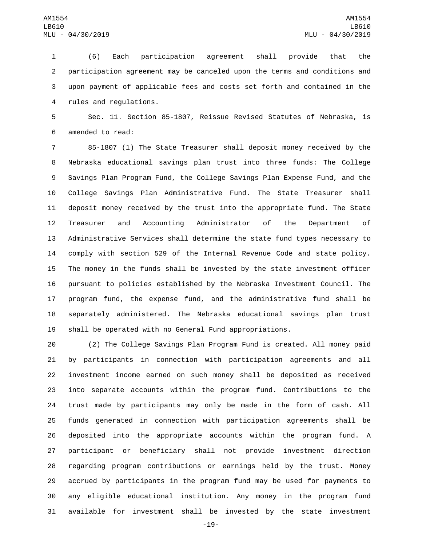(6) Each participation agreement shall provide that the participation agreement may be canceled upon the terms and conditions and upon payment of applicable fees and costs set forth and contained in the 4 rules and regulations.

 Sec. 11. Section 85-1807, Reissue Revised Statutes of Nebraska, is 6 amended to read:

 85-1807 (1) The State Treasurer shall deposit money received by the Nebraska educational savings plan trust into three funds: The College Savings Plan Program Fund, the College Savings Plan Expense Fund, and the College Savings Plan Administrative Fund. The State Treasurer shall deposit money received by the trust into the appropriate fund. The State Treasurer and Accounting Administrator of the Department of Administrative Services shall determine the state fund types necessary to comply with section 529 of the Internal Revenue Code and state policy. The money in the funds shall be invested by the state investment officer pursuant to policies established by the Nebraska Investment Council. The program fund, the expense fund, and the administrative fund shall be separately administered. The Nebraska educational savings plan trust shall be operated with no General Fund appropriations.

 (2) The College Savings Plan Program Fund is created. All money paid by participants in connection with participation agreements and all investment income earned on such money shall be deposited as received into separate accounts within the program fund. Contributions to the trust made by participants may only be made in the form of cash. All funds generated in connection with participation agreements shall be deposited into the appropriate accounts within the program fund. A participant or beneficiary shall not provide investment direction regarding program contributions or earnings held by the trust. Money accrued by participants in the program fund may be used for payments to any eligible educational institution. Any money in the program fund available for investment shall be invested by the state investment

-19-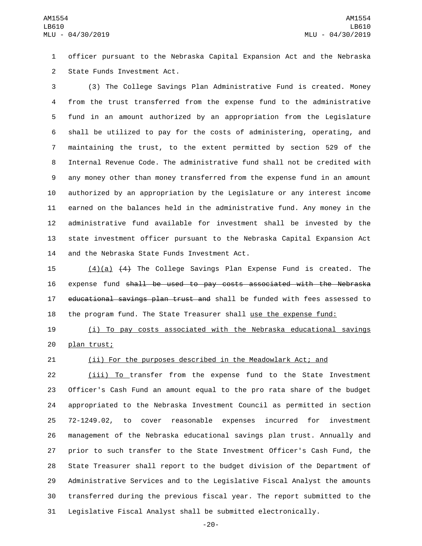officer pursuant to the Nebraska Capital Expansion Act and the Nebraska 2 State Funds Investment Act.

 (3) The College Savings Plan Administrative Fund is created. Money from the trust transferred from the expense fund to the administrative fund in an amount authorized by an appropriation from the Legislature shall be utilized to pay for the costs of administering, operating, and maintaining the trust, to the extent permitted by section 529 of the Internal Revenue Code. The administrative fund shall not be credited with any money other than money transferred from the expense fund in an amount authorized by an appropriation by the Legislature or any interest income earned on the balances held in the administrative fund. Any money in the administrative fund available for investment shall be invested by the state investment officer pursuant to the Nebraska Capital Expansion Act 14 and the Nebraska State Funds Investment Act.

 (4)(a) (4) The College Savings Plan Expense Fund is created. The expense fund shall be used to pay costs associated with the Nebraska 17 educational savings plan trust and shall be funded with fees assessed to the program fund. The State Treasurer shall use the expense fund:

 (i) To pay costs associated with the Nebraska educational savings 20 plan trust;

## (ii) For the purposes described in the Meadowlark Act; and

 (iii) To transfer from the expense fund to the State Investment Officer's Cash Fund an amount equal to the pro rata share of the budget appropriated to the Nebraska Investment Council as permitted in section 72-1249.02, to cover reasonable expenses incurred for investment management of the Nebraska educational savings plan trust. Annually and prior to such transfer to the State Investment Officer's Cash Fund, the State Treasurer shall report to the budget division of the Department of Administrative Services and to the Legislative Fiscal Analyst the amounts transferred during the previous fiscal year. The report submitted to the Legislative Fiscal Analyst shall be submitted electronically.

-20-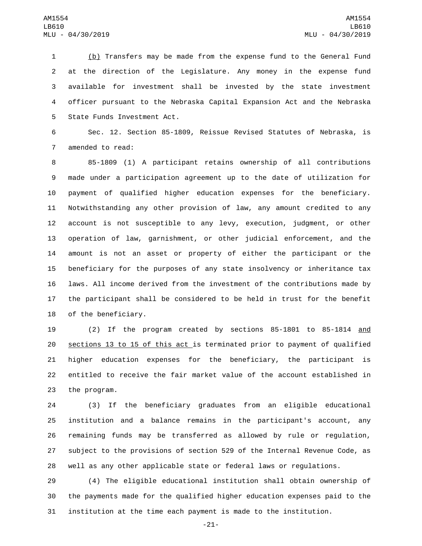(b) Transfers may be made from the expense fund to the General Fund at the direction of the Legislature. Any money in the expense fund available for investment shall be invested by the state investment officer pursuant to the Nebraska Capital Expansion Act and the Nebraska 5 State Funds Investment Act.

 Sec. 12. Section 85-1809, Reissue Revised Statutes of Nebraska, is 7 amended to read:

 85-1809 (1) A participant retains ownership of all contributions made under a participation agreement up to the date of utilization for payment of qualified higher education expenses for the beneficiary. Notwithstanding any other provision of law, any amount credited to any account is not susceptible to any levy, execution, judgment, or other operation of law, garnishment, or other judicial enforcement, and the amount is not an asset or property of either the participant or the beneficiary for the purposes of any state insolvency or inheritance tax laws. All income derived from the investment of the contributions made by the participant shall be considered to be held in trust for the benefit 18 of the beneficiary.

 (2) If the program created by sections 85-1801 to 85-1814 and sections 13 to 15 of this act is terminated prior to payment of qualified higher education expenses for the beneficiary, the participant is entitled to receive the fair market value of the account established in 23 the program.

 (3) If the beneficiary graduates from an eligible educational institution and a balance remains in the participant's account, any remaining funds may be transferred as allowed by rule or regulation, subject to the provisions of section 529 of the Internal Revenue Code, as well as any other applicable state or federal laws or regulations.

 (4) The eligible educational institution shall obtain ownership of the payments made for the qualified higher education expenses paid to the institution at the time each payment is made to the institution.

-21-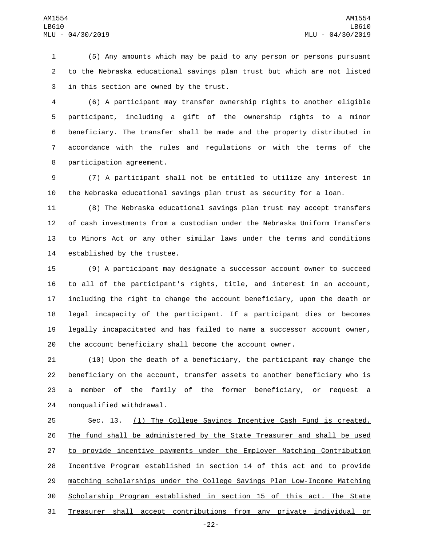(5) Any amounts which may be paid to any person or persons pursuant to the Nebraska educational savings plan trust but which are not listed 3 in this section are owned by the trust.

 (6) A participant may transfer ownership rights to another eligible participant, including a gift of the ownership rights to a minor beneficiary. The transfer shall be made and the property distributed in accordance with the rules and regulations or with the terms of the 8 participation agreement.

 (7) A participant shall not be entitled to utilize any interest in the Nebraska educational savings plan trust as security for a loan.

 (8) The Nebraska educational savings plan trust may accept transfers of cash investments from a custodian under the Nebraska Uniform Transfers to Minors Act or any other similar laws under the terms and conditions 14 established by the trustee.

 (9) A participant may designate a successor account owner to succeed to all of the participant's rights, title, and interest in an account, including the right to change the account beneficiary, upon the death or legal incapacity of the participant. If a participant dies or becomes legally incapacitated and has failed to name a successor account owner, the account beneficiary shall become the account owner.

 (10) Upon the death of a beneficiary, the participant may change the beneficiary on the account, transfer assets to another beneficiary who is a member of the family of the former beneficiary, or request a 24 nonqualified withdrawal.

 Sec. 13. (1) The College Savings Incentive Cash Fund is created. The fund shall be administered by the State Treasurer and shall be used 27 to provide incentive payments under the Employer Matching Contribution Incentive Program established in section 14 of this act and to provide matching scholarships under the College Savings Plan Low-Income Matching Scholarship Program established in section 15 of this act. The State Treasurer shall accept contributions from any private individual or

-22-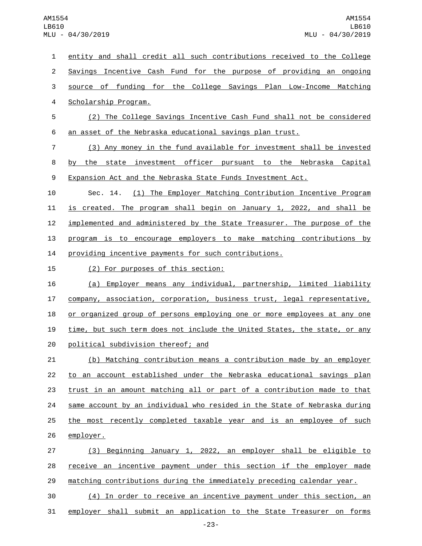entity and shall credit all such contributions received to the College Savings Incentive Cash Fund for the purpose of providing an ongoing source of funding for the College Savings Plan Low-Income Matching 4 Scholarship Program. (2) The College Savings Incentive Cash Fund shall not be considered an asset of the Nebraska educational savings plan trust. (3) Any money in the fund available for investment shall be invested by the state investment officer pursuant to the Nebraska Capital Expansion Act and the Nebraska State Funds Investment Act. Sec. 14. (1) The Employer Matching Contribution Incentive Program is created. The program shall begin on January 1, 2022, and shall be 12 implemented and administered by the State Treasurer. The purpose of the program is to encourage employers to make matching contributions by providing incentive payments for such contributions. 15 (2) For purposes of this section: (a) Employer means any individual, partnership, limited liability company, association, corporation, business trust, legal representative, 18 or organized group of persons employing one or more employees at any one time, but such term does not include the United States, the state, or any 20 political subdivision thereof; and (b) Matching contribution means a contribution made by an employer to an account established under the Nebraska educational savings plan trust in an amount matching all or part of a contribution made to that same account by an individual who resided in the State of Nebraska during the most recently completed taxable year and is an employee of such 26 employer. (3) Beginning January 1, 2022, an employer shall be eligible to receive an incentive payment under this section if the employer made

matching contributions during the immediately preceding calendar year.

 (4) In order to receive an incentive payment under this section, an employer shall submit an application to the State Treasurer on forms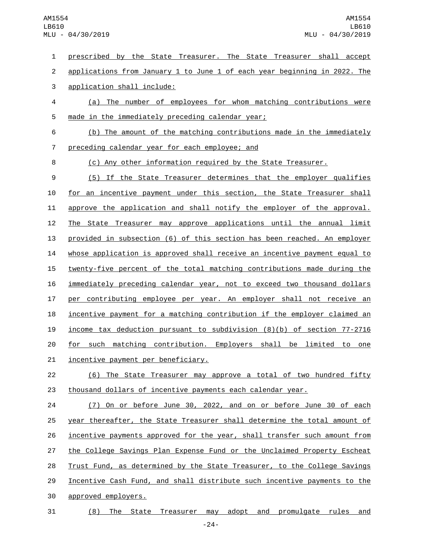prescribed by the State Treasurer. The State Treasurer shall accept 2 applications from January 1 to June 1 of each year beginning in 2022. The 3 application shall include: (a) The number of employees for whom matching contributions were 5 made in the immediately preceding calendar year; (b) The amount of the matching contributions made in the immediately 7 preceding calendar year for each employee; and (c) Any other information required by the State Treasurer. (5) If the State Treasurer determines that the employer qualifies for an incentive payment under this section, the State Treasurer shall approve the application and shall notify the employer of the approval. The State Treasurer may approve applications until the annual limit provided in subsection (6) of this section has been reached. An employer whose application is approved shall receive an incentive payment equal to 15 twenty-five percent of the total matching contributions made during the immediately preceding calendar year, not to exceed two thousand dollars per contributing employee per year. An employer shall not receive an incentive payment for a matching contribution if the employer claimed an income tax deduction pursuant to subdivision (8)(b) of section 77-2716 for such matching contribution. Employers shall be limited to one 21 incentive payment per beneficiary. (6) The State Treasurer may approve a total of two hundred fifty thousand dollars of incentive payments each calendar year. (7) On or before June 30, 2022, and on or before June 30 of each year thereafter, the State Treasurer shall determine the total amount of incentive payments approved for the year, shall transfer such amount from 27 the College Savings Plan Expense Fund or the Unclaimed Property Escheat 28 Trust Fund, as determined by the State Treasurer, to the College Savings Incentive Cash Fund, and shall distribute such incentive payments to the 30 approved employers.

31 (8) The State Treasurer may adopt and promulgate rules and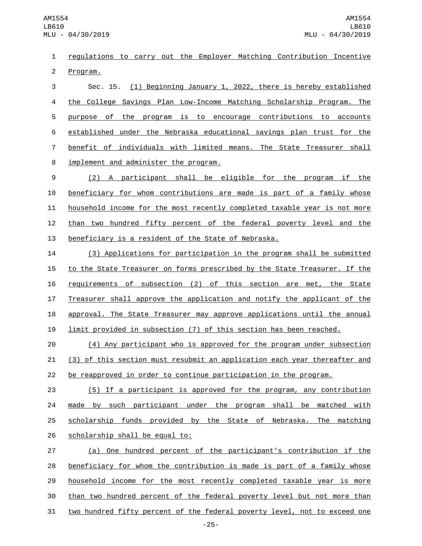regulations to carry out the Employer Matching Contribution Incentive 2 Program.

 Sec. 15. (1) Beginning January 1, 2022, there is hereby established the College Savings Plan Low-Income Matching Scholarship Program. The purpose of the program is to encourage contributions to accounts established under the Nebraska educational savings plan trust for the benefit of individuals with limited means. The State Treasurer shall 8 implement and administer the program.

 (2) A participant shall be eligible for the program if the beneficiary for whom contributions are made is part of a family whose household income for the most recently completed taxable year is not more than two hundred fifty percent of the federal poverty level and the beneficiary is a resident of the State of Nebraska.

 (3) Applications for participation in the program shall be submitted 15 to the State Treasurer on forms prescribed by the State Treasurer. If the 16 requirements of subsection (2) of this section are met, the State Treasurer shall approve the application and notify the applicant of the 18 approval. The State Treasurer may approve applications until the annual limit provided in subsection (7) of this section has been reached.

 (4) Any participant who is approved for the program under subsection (3) of this section must resubmit an application each year thereafter and be reapproved in order to continue participation in the program.

 (5) If a participant is approved for the program, any contribution 24 made by such participant under the program shall be matched with scholarship funds provided by the State of Nebraska. The matching 26 scholarship shall be equal to:

 (a) One hundred percent of the participant's contribution if the beneficiary for whom the contribution is made is part of a family whose household income for the most recently completed taxable year is more than two hundred percent of the federal poverty level but not more than two hundred fifty percent of the federal poverty level, not to exceed one